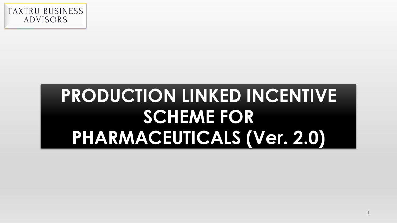

# **PRODUCTION LINKED INCENTIVE SCHEME FOR PHARMACEUTICALS (Ver. 2.0)**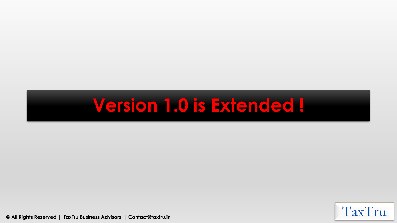## **Version 1.0 is Extended !**

TaxTru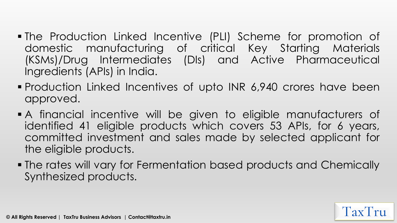- **. The Production Linked Incentive (PLI) Scheme for promotion of** domestic manufacturing of critical Key Starting Materials (KSMs)/Drug Intermediates (DIs) and Active Pharmaceutical Ingredients (APIs) in India.
- **Production Linked Incentives of upto INR 6,940 crores have been** approved.
- A financial incentive will be given to eligible manufacturers of identified 41 eligible products which covers 53 APIs, for 6 years, committed investment and sales made by selected applicant for the eligible products.
- The rates will vary for Fermentation based products and Chemically Synthesized products.

 $\Gamma$ ax $\Gamma$ ru

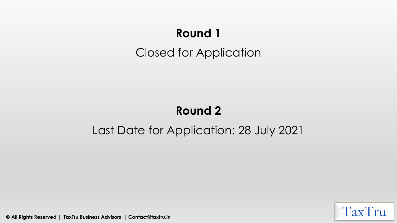### **Round 1** Closed for Application

#### **Round 2**

#### Last Date for Application: 28 July 2021

TaxTru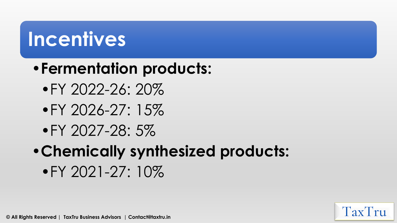# **Incentives**

### •**Fermentation products:**

- •FY 2022-26: 20%
- •FY 2026-27: 15%
- •FY 2027-28: 5%
- •**Chemically synthesized products:**

 $\text{Tx}$  $\text{Tx}$ 

•FY 2021-27: 10%

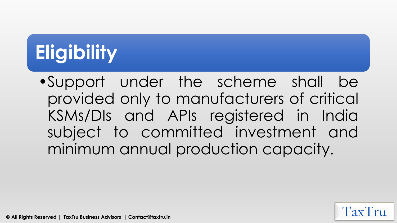# **Eligibility**

•Support under the scheme shall be provided only to manufacturers of critical KSMs/DIs and APIs registered in India subject to committed investment and minimum annual production capacity.

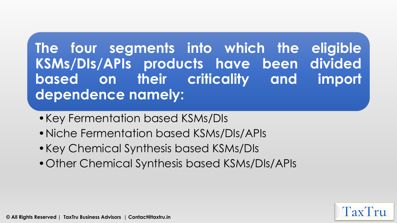**The four segments into which the eligible KSMs/DIs/APIs products have been divided based on their criticality and import dependence namely:**

- •Key Fermentation based KSMs/DIs
- •Niche Fermentation based KSMs/DIs/APIs
- •Key Chemical Synthesis based KSMs/DIs
- •Other Chemical Synthesis based KSMs/DIs/APIs

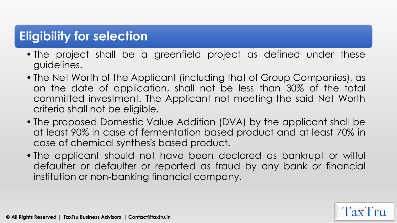#### **Eligibility for selection**

- The project shall be a greenfield project as defined under these guidelines.
- The Net Worth of the Applicant (including that of Group Companies), as on the date of application, shall not be less than 30% of the total committed investment. The Applicant not meeting the said Net Worth criteria shall not be eligible.
- The proposed Domestic Value Addition (DVA) by the applicant shall be at least 90% in case of fermentation based product and at least 70% in case of chemical synthesis based product.
- The applicant should not have been declared as bankrupt or wilful defaulter or defaulter or reported as fraud by any bank or financial institution or non-banking financial company.

 $\Gamma$ ax $\Gamma$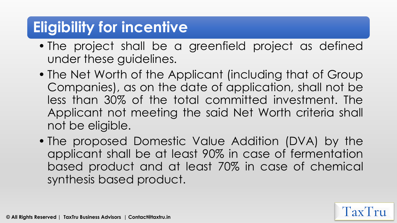#### **Eligibility for incentive**

- The project shall be a greenfield project as defined under these guidelines.
- The Net Worth of the Applicant (including that of Group Companies), as on the date of application, shall not be less than 30% of the total committed investment. The Applicant not meeting the said Net Worth criteria shall not be eligible.
- The proposed Domestic Value Addition (DVA) by the applicant shall be at least 90% in case of fermentation based product and at least 70% in case of chemical synthesis based product.

 $\Gamma$ ax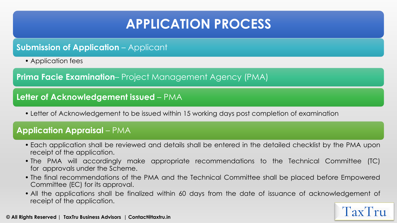#### **APPLICATION PROCESS**

#### **Submission of Application** – Applicant

• Application fees

**Prima Facie Examination**– Project Management Agency (PMA)

#### **Letter of Acknowledgement issued** – PMA

• Letter of Acknowledgement to be issued within 15 working days post completion of examination

#### **Application Appraisal** – PMA

- Each application shall be reviewed and details shall be entered in the detailed checklist by the PMA upon receipt of the application.
- The PMA will accordingly make appropriate recommendations to the Technical Committee (TC) for approvals under the Scheme.
- The final recommendations of the PMA and the Technical Committee shall be placed before Empowered Committee (EC) for its approval.
- All the applications shall be finalized within 60 days from the date of issuance of acknowledgement of receipt of the application.

 $\Gamma$ <sub>2</sub> $\mathbf{v}'$  $\Gamma$  r<sub>11</sub>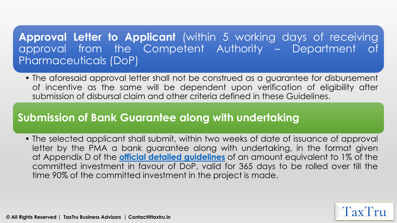#### **Approval Letter to Applicant** (within 5 working days of receiving approval from the Competent Authority – Department of Pharmaceuticals (DoP)

• The aforesaid approval letter shall not be construed as a guarantee for disbursement of incentive as the same will be dependent upon verification of eligibility after submission of disbursal claim and other criteria defined in these Guidelines.

#### **Submission of Bank Guarantee along with undertaking**

• The selected applicant shall submit, within two weeks of date of issuance of approval letter by the PMA a bank guarantee along with undertaking, in the format given at Appendix D of the **official detailed guidelines** of an amount equivalent to 1% of the committed investment in favour of DoP, valid for 365 days to be rolled over till the time 90% of the committed investment in the project is made.

**Tax** 

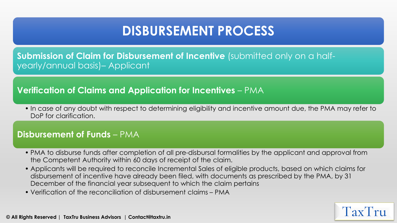#### **DISBURSEMENT PROCESS**

**Submission of Claim for Disbursement of Incentive** (submitted only on a halfyearly/annual basis)– Applicant

#### **Verification of Claims and Application for Incentives** – PMA

• In case of any doubt with respect to determining eligibility and incentive amount due, the PMA may refer to DoP for clarification.

#### **Disbursement of Funds** – PMA

- PMA to disburse funds after completion of all pre-disbursal formalities by the applicant and approval from the Competent Authority within 60 days of receipt of the claim.
- Applicants will be required to reconcile Incremental Sales of eligible products, based on which claims for disbursement of incentive have already been filed, with documents as prescribed by the PMA, by 31 December of the financial year subsequent to which the claim pertains

TaxTru

• Verification of the reconciliation of disbursement claims – PMA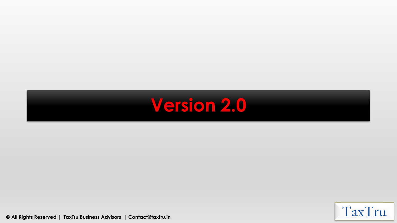

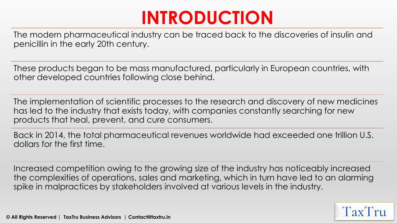## **INTRODUCTION**

The modern pharmaceutical industry can be traced back to the discoveries of insulin and penicillin in the early 20th century.

These products began to be mass manufactured, particularly in European countries, with other developed countries following close behind.

The implementation of scientific processes to the research and discovery of new medicines has led to the industry that exists today, with companies constantly searching for new products that heal, prevent, and cure consumers.

Back in 2014, the total pharmaceutical revenues worldwide had exceeded one trillion U.S. dollars for the first time.

Increased competition owing to the growing size of the industry has noticeably increased the complexities of operations, sales and marketing, which in turn have led to an alarming spike in malpractices by stakeholders involved at various levels in the industry.

 $\Gamma$ ax $\Gamma$ ru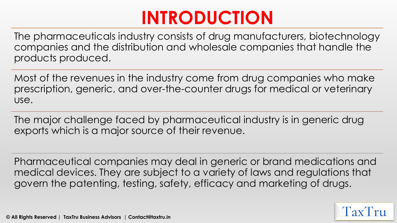## **INTRODUCTION**

The pharmaceuticals industry consists of drug manufacturers, biotechnology companies and the distribution and wholesale companies that handle the products produced.

Most of the revenues in the industry come from drug companies who make prescription, generic, and over-the-counter drugs for medical or veterinary use.

The major challenge faced by pharmaceutical industry is in generic drug exports which is a major source of their revenue.

Pharmaceutical companies may deal in generic or brand medications and medical devices. They are subject to a variety of laws and regulations that govern the patenting, testing, safety, efficacy and marketing of drugs.

 $\Gamma$ a $\mathbf{v}'$ 

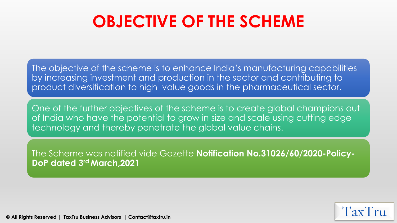## **OBJECTIVE OF THE SCHEME**

The objective of the scheme is to enhance India's manufacturing capabilities by increasing investment and production in the sector and contributing to product diversification to high value goods in the pharmaceutical sector.

One of the further objectives of the scheme is to create global champions out of India who have the potential to grow in size and scale using cutting edge technology and thereby penetrate the global value chains.

The Scheme was notified vide Gazette **Notification No.31026/60/2020-Policy-DoP dated 3rd March,2021**

Tax<sup>1</sup>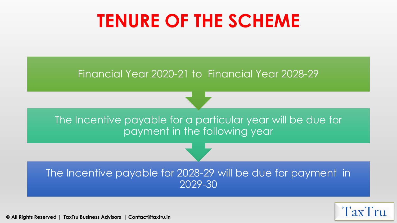## **TENURE OF THE SCHEME**

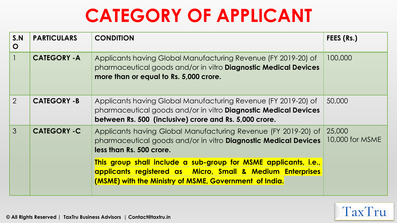## **CATEGORY OF APPLICANT**

| S.N<br>$\mathbf O$ | <b>PARTICULARS</b>  | <b>CONDITION</b>                                                                                                                                                                                   | FEES (Rs.)                |
|--------------------|---------------------|----------------------------------------------------------------------------------------------------------------------------------------------------------------------------------------------------|---------------------------|
|                    | <b>CATEGORY - A</b> | Applicants having Global Manufacturing Revenue (FY 2019-20) of<br>pharmaceutical goods and/or in vitro Diagnostic Medical Devices<br>more than or equal to Rs. 5,000 crore.                        | 100,000                   |
| 2                  | <b>CATEGORY -B</b>  | Applicants having Global Manufacturing Revenue (FY 2019-20) of<br>pharmaceutical goods and/or in vitro <b>Diagnostic Medical Devices</b><br>between Rs. 500 (inclusive) crore and Rs. 5,000 crore. | 50,000                    |
| $\mathcal{S}$      | <b>CATEGORY -C</b>  | Applicants having Global Manufacturing Revenue (FY 2019-20) of<br>pharmaceutical goods and/or in vitro <b>Diagnostic Medical Devices</b><br>less than Rs. 500 crore.                               | 25,000<br>10,000 for MSME |
|                    |                     | This group shall include a sub-group for MSME applicants, i.e.,<br>applicants registered as Micro, Small & Medium Enterprises<br>(MSME) with the Ministry of MSME, Government of India.            |                           |

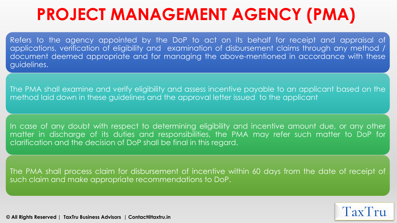## **PROJECT MANAGEMENT AGENCY (PMA)**

Refers to the agency appointed by the DoP to act on its behalf for receipt and appraisal of applications, verification of eligibility and examination of disbursement claims through any method / document deemed appropriate and for managing the above-mentioned in accordance with these guidelines.

The PMA shall examine and verify eligibility and assess incentive payable to an applicant based on the method laid down in these guidelines and the approval letter issued to the applicant

In case of any doubt with respect to determining eligibility and incentive amount due, or any other matter in discharge of its duties and responsibilities, the PMA may refer such matter to DoP for clarification and the decision of DoP shall be final in this regard.

The PMA shall process claim for disbursement of incentive within 60 days from the date of receipt of such claim and make appropriate recommendations to DoP.

TaxTru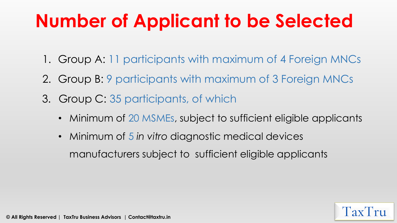# **Number of Applicant to be Selected**

- 1. Group A: 11 participants with maximum of 4 Foreign MNCs
- 2. Group B: 9 participants with maximum of 3 Foreign MNCs
- 3. Group C: 35 participants, of which
	- Minimum of 20 MSMEs, subject to sufficient eligible applicants

 $\Gamma$ ax

• Minimum of 5 *in vitro* diagnostic medical devices manufacturers subject to sufficient eligible applicants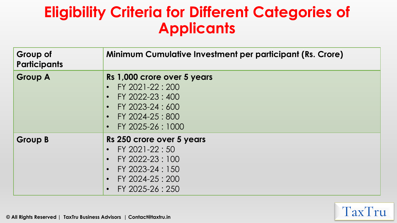### **Eligibility Criteria for Different Categories of Applicants**

| <b>Group of</b><br>Participants | <b>Minimum Cumulative Investment per participant (Rs. Crore)</b>                                                                                                                        |
|---------------------------------|-----------------------------------------------------------------------------------------------------------------------------------------------------------------------------------------|
| <b>Group A</b>                  | Rs 1,000 crore over 5 years<br>FY 2021-22:200<br>$\bullet$<br>FY 2022-23 : 400<br>$\bullet$<br>FY 2023-24 : 600<br>$\bullet$<br>FY 2024-25 : 800<br>FY 2025-26 : 1000                   |
| <b>Group B</b>                  | Rs 250 crore over 5 years<br>FY 2021-22:50<br>$\bullet$<br>FY 2022-23:100<br>$\bullet$<br>FY 2023-24 : 150<br>$\bullet$<br>FY 2024-25 : 200<br>$\bullet$<br>FY 2025-26:250<br>$\bullet$ |

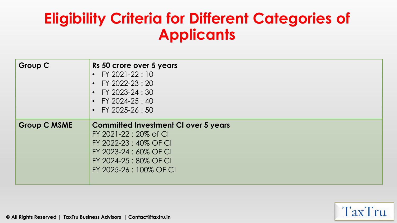### **Eligibility Criteria for Different Categories of Applicants**

| <b>Group C</b>      | Rs 50 crore over 5 years<br>• FY 2021-22:10<br>• FY 2022-23 : 20<br>• FY 2023-24 : 30<br>• FY 2024-25 : 40<br>• FY 2025-26 : 50                                            |
|---------------------|----------------------------------------------------------------------------------------------------------------------------------------------------------------------------|
| <b>Group C MSME</b> | <b>Committed Investment CI over 5 years</b><br>FY 2021-22 : 20% of CI<br>FY 2022-23:40% OF CI<br>FY 2023-24 : 60% OF CI<br>FY 2024-25:80% OF CI<br>FY 2025-26 : 100% OF CI |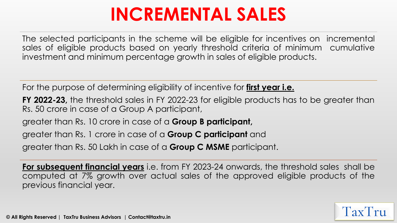## **INCREMENTAL SALES**

The selected participants in the scheme will be eligible for incentives on incremental sales of eligible products based on yearly threshold criteria of minimum cumulative investment and minimum percentage growth in sales of eligible products.

For the purpose of determining eligibility of incentive for **first year i.e.**

**FY 2022-23,** the threshold sales in FY 2022-23 for eligible products has to be greater than Rs. 50 crore in case of a Group A participant,

greater than Rs. 10 crore in case of a **Group B participant,**

greater than Rs. 1 crore in case of a **Group C participant** and

greater than Rs. 50 Lakh in case of a **Group C MSME** participant.

**For subsequent financial years** i.e. from FY 2023-24 onwards, the threshold sales shall be computed at 7% growth over actual sales of the approved eligible products of the previous financial year.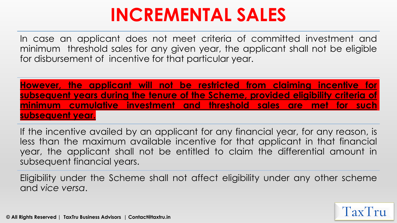## **INCREMENTAL SALES**

In case an applicant does not meet criteria of committed investment and minimum threshold sales for any given year, the applicant shall not be eligible for disbursement of incentive for that particular year.

**However, the applicant will not be restricted from claiming incentive for subsequent years during the tenure of the Scheme, provided eligibility criteria of minimum cumulative investment and threshold sales are met for such subsequent year.**

If the incentive availed by an applicant for any financial year, for any reason, is less than the maximum available incentive for that applicant in that financial year, the applicant shall not be entitled to claim the differential amount in subsequent financial years.

Eligibility under the Scheme shall not affect eligibility under any other scheme and *vice versa*.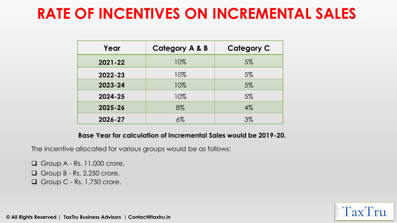### **RATE OF INCENTIVES ON INCREMENTAL SALES**

| Year        | <b>Category A &amp; B</b> | <b>Category C</b> |
|-------------|---------------------------|-------------------|
| $2021 - 22$ | 10%                       | $5\%$             |
| 2022-23     | 10%                       | $5\%$             |
| 2023-24     | 10%                       | 5%                |
| 2024-25     | 10%                       | 5%                |
| 2025-26     | 8%                        | $4\%$             |
| 2026-27     | $6\%$                     | $3\%$             |

**Base Year for calculation of Incremental Sales would be 2019-20.**

TaxTru

The incentive allocated for various groups would be as follows:

❑ Group A - Rs. 11,000 crore,

❑ Group B - Rs. 2,250 crore,

❑ Group C - Rs. 1,750 crore.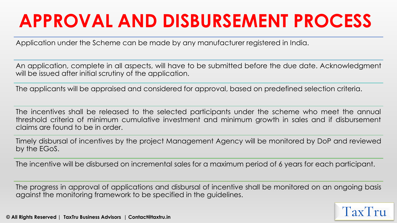# **APPROVAL AND DISBURSEMENT PROCESS**

Application under the Scheme can be made by any manufacturer registered in India.

An application, complete in all aspects, will have to be submitted before the due date. Acknowledgment will be issued after initial scrutiny of the application.

The applicants will be appraised and considered for approval, based on predefined selection criteria.

The incentives shall be released to the selected participants under the scheme who meet the annual threshold criteria of minimum cumulative investment and minimum growth in sales and if disbursement claims are found to be in order.

Timely disbursal of incentives by the project Management Agency will be monitored by DoP and reviewed by the EGoS.

The incentive will be disbursed on incremental sales for a maximum period of 6 years for each participant.

The progress in approval of applications and disbursal of incentive shall be monitored on an ongoing basis against the monitoring framework to be specified in the guidelines.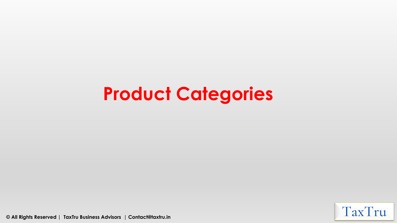## **Product Categories**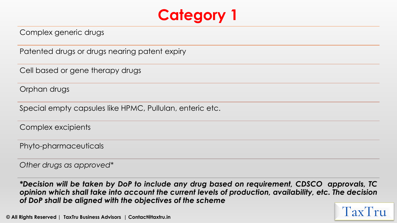

Complex generic drugs

Patented drugs or drugs nearing patent expiry

Cell based or gene therapy drugs

Orphan drugs

Special empty capsules like HPMC, Pullulan, enteric etc.

Complex excipients

Phyto-pharmaceuticals

*Other drugs as approved\**

*\*Decision will be taken by DoP to include any drug based on requirement, CDSCO approvals, TC opinion which shall take into account the current levels of production, availability, etc. The decision of DoP shall be aligned with the objectives of the scheme*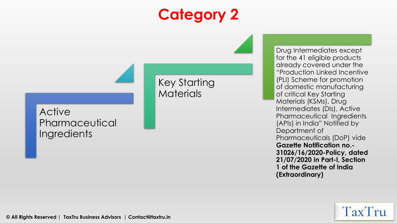### **Category 2**

Key Starting

**Materials** 

Active **Pharmaceutical Ingredients** 

Drug Intermediates except for the 41 eligible products already covered under the "Production Linked Incentive (PLI) Scheme for promotion of domestic manufacturing of critical Key Starting Materials (KSMs), Drug Intermediates (DIs), Active Pharmaceutical Ingredients (APIs) in India" Notified by Department of Pharmaceuticals (DoP) vide **Gazette Notification no.- 31026/16/2020-Policy, dated 21/07/2020 in Part-I, Section 1 of the Gazette of India (Extraordinary)**

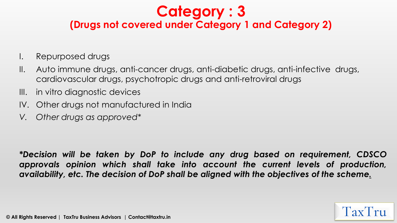### **Category : 3**

#### **(Drugs not covered under Category 1 and Category 2)**

- I. Repurposed drugs
- II. Auto immune drugs, anti-cancer drugs, anti-diabetic drugs, anti-infective drugs, cardiovascular drugs, psychotropic drugs and anti-retroviral drugs
- III. in vitro diagnostic devices
- IV. Other drugs not manufactured in India
- *V. Other drugs as approved\**

*\*Decision will be taken by DoP to include any drug based on requirement, CDSCO approvals opinion which shall take into account the current levels of production, availability, etc. The decision of DoP shall be aligned with the objectives of the scheme.*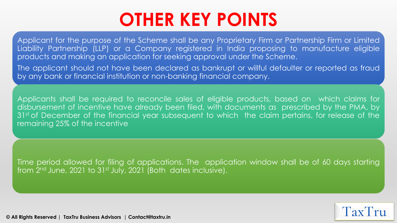## **OTHER KEY POINTS**

Applicant for the purpose of the Scheme shall be any Proprietary Firm or Partnership Firm or Limited Liability Partnership (LLP) or a Company registered in India proposing to manufacture eligible products and making an application for seeking approval under the Scheme.

The applicant should not have been declared as bankrupt or willful defaulter or reported as fraud by any bank or financial institution or non-banking financial company.

Applicants shall be required to reconcile sales of eligible products, based on which claims for disbursement of incentive have already been filed, with documents as prescribed by the PMA, by 31<sup>st</sup> of December of the financial year subsequent to which the claim pertains, for release of the remaining 25% of the incentive

Time period allowed for filing of applications. The application window shall be of 60 days starting from 2<sup>nd</sup> June, 2021 to 31st July, 2021 (Both dates inclusive).

 $\text{Tx}$  $\text{Tx}$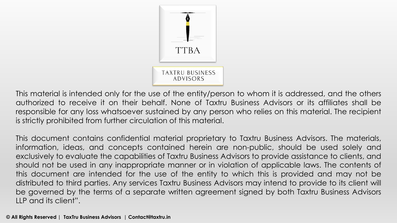

This material is intended only for the use of the entity/person to whom it is addressed, and the others authorized to receive it on their behalf. None of Taxtru Business Advisors or its affiliates shall be responsible for any loss whatsoever sustained by any person who relies on this material. The recipient is strictly prohibited from further circulation of this material.

This document contains confidential material proprietary to Taxtru Business Advisors. The materials, information, ideas, and concepts contained herein are non-public, should be used solely and exclusively to evaluate the capabilities of Taxtru Business Advisors to provide assistance to clients, and should not be used in any inappropriate manner or in violation of applicable laws. The contents of this document are intended for the use of the entity to which this is provided and may not be distributed to third parties. Any services Taxtru Business Advisors may intend to provide to its client will be governed by the terms of a separate written agreement signed by both Taxtru Business Advisors LLP and its client".